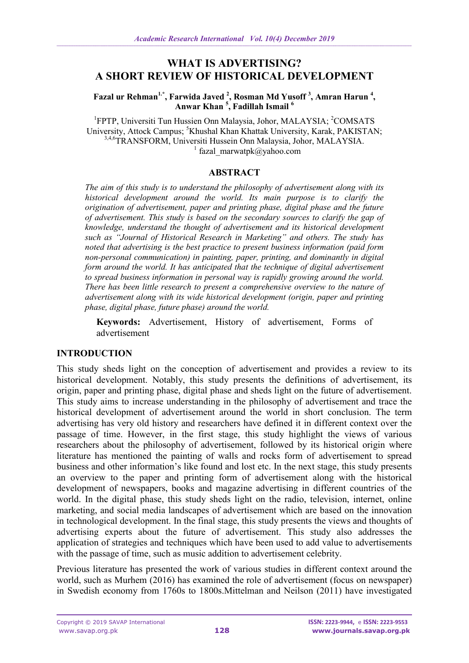# **WHAT IS ADVERTISING? A SHORT REVIEW OF HISTORICAL DEVELOPMENT**

#### **Fazal ur Rehman1.\*, Farwida Javed <sup>2</sup> , Rosman Md Yusoff <sup>3</sup> , Amran Harun <sup>4</sup> , Anwar Khan <sup>5</sup> , Fadillah Ismail <sup>6</sup>**

<sup>1</sup>FPTP, Universiti Tun Hussien Onn Malaysia, Johor, MALAYSIA; <sup>2</sup>COMSATS University, Attock Campus; <sup>5</sup>Khushal Khan Khattak University, Karak, PAKISTAN; 3,4,6TRANSFORM, Universiti Hussein Onn Malaysia, Johor, MALAYSIA. 1 fazal\_marwatpk@yahoo.com

#### **ABSTRACT**

*The aim of this study is to understand the philosophy of advertisement along with its historical development around the world. Its main purpose is to clarify the origination of advertisement, paper and printing phase, digital phase and the future of advertisement. This study is based on the secondary sources to clarify the gap of knowledge, understand the thought of advertisement and its historical development such as "Journal of Historical Research in Marketing" and others. The study has noted that advertising is the best practice to present business information (paid form non-personal communication) in painting, paper, printing, and dominantly in digital form around the world. It has anticipated that the technique of digital advertisement to spread business information in personal way is rapidly growing around the world. There has been little research to present a comprehensive overview to the nature of advertisement along with its wide historical development (origin, paper and printing phase, digital phase, future phase) around the world.*

**Keywords:** Advertisement, History of advertisement, Forms of advertisement

#### **INTRODUCTION**

This study sheds light on the conception of advertisement and provides a review to its historical development. Notably, this study presents the definitions of advertisement, its origin, paper and printing phase, digital phase and sheds light on the future of advertisement. This study aims to increase understanding in the philosophy of advertisement and trace the historical development of advertisement around the world in short conclusion. The term advertising has very old history and researchers have defined it in different context over the passage of time. However, in the first stage, this study highlight the views of various researchers about the philosophy of advertisement, followed by its historical origin where literature has mentioned the painting of walls and rocks form of advertisement to spread business and other information's like found and lost etc. In the next stage, this study presents an overview to the paper and printing form of advertisement along with the historical development of newspapers, books and magazine advertising in different countries of the world. In the digital phase, this study sheds light on the radio, television, internet, online marketing, and social media landscapes of advertisement which are based on the innovation in technological development. In the final stage, this study presents the views and thoughts of advertising experts about the future of advertisement. This study also addresses the application of strategies and techniques which have been used to add value to advertisements with the passage of time, such as music addition to advertisement celebrity.

Previous literature has presented the work of various studies in different context around the world, such as Murhem (2016) has examined the role of advertisement (focus on newspaper) in Swedish economy from 1760s to 1800s.Mittelman and Neilson (2011) have investigated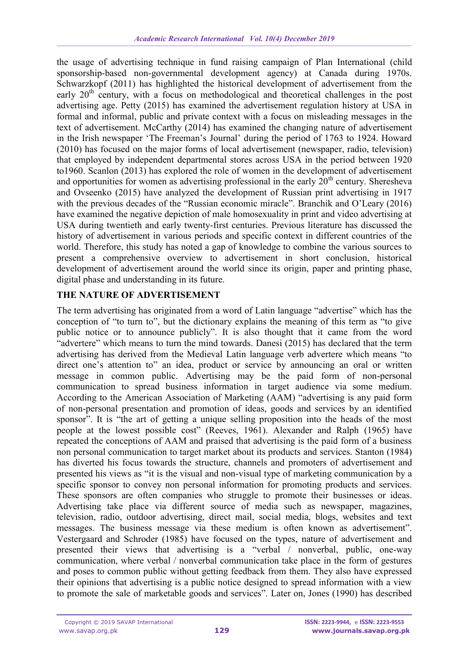the usage of advertising technique in fund raising campaign of Plan International (child sponsorship-based non-governmental development agency) at Canada during 1970s. Schwarzkopf (2011) has highlighted the historical development of advertisement from the early  $20<sup>th</sup>$  century, with a focus on methodological and theoretical challenges in the post advertising age. Petty (2015) has examined the advertisement regulation history at USA in formal and informal, public and private context with a focus on misleading messages in the text of advertisement. McCarthy (2014) has examined the changing nature of advertisement in the Irish newspaper 'The Freeman's Journal' during the period of 1763 to 1924. Howard (2010) has focused on the major forms of local advertisement (newspaper, radio, television) that employed by independent departmental stores across USA in the period between 1920 to1960. Scanlon (2013) has explored the role of women in the development of advertisement and opportunities for women as advertising professional in the early  $20<sup>th</sup>$  century. Sheresheva and Ovseenko (2015) have analyzed the development of Russian print advertising in 1917 with the previous decades of the "Russian economic miracle". Branchik and O'Leary (2016) have examined the negative depiction of male homosexuality in print and video advertising at USA during twentieth and early twenty-first centuries. Previous literature has discussed the history of advertisement in various periods and specific context in different countries of the world. Therefore, this study has noted a gap of knowledge to combine the various sources to present a comprehensive overview to advertisement in short conclusion, historical development of advertisement around the world since its origin, paper and printing phase, digital phase and understanding in its future.

#### **THE NATURE OF ADVERTISEMENT**

The term advertising has originated from a word of Latin language "advertise" which has the conception of "to turn to", but the dictionary explains the meaning of this term as "to give public notice or to announce publicly". It is also thought that it came from the word "advertere" which means to turn the mind towards. Danesi (2015) has declared that the term advertising has derived from the Medieval Latin language verb advertere which means "to direct one's attention to" an idea, product or service by announcing an oral or written message in common public. Advertising may be the paid form of non-personal communication to spread business information in target audience via some medium. According to the American Association of Marketing (AAM) "advertising is any paid form of non-personal presentation and promotion of ideas, goods and services by an identified sponsor". It is "the art of getting a unique selling proposition into the heads of the most people at the lowest possible cost" (Reeves, 1961). Alexander and Ralph (1965) have repeated the conceptions of AAM and praised that advertising is the paid form of a business non personal communication to target market about its products and services. Stanton (1984) has diverted his focus towards the structure, channels and promoters of advertisement and presented his views as "it is the visual and non-visual type of marketing communication by a specific sponsor to convey non personal information for promoting products and services. These sponsors are often companies who struggle to promote their businesses or ideas. Advertising take place via different source of media such as newspaper, magazines, television, radio, outdoor advertising, direct mail, social media, blogs, websites and text messages. The business message via these medium is often known as advertisement". Vestergaard and Schroder (1985) have focused on the types, nature of advertisement and presented their views that advertising is a "verbal / nonverbal, public, one-way communication, where verbal / nonverbal communication take place in the form of gestures and poses to common public without getting feedback from them. They also have expressed their opinions that advertising is a public notice designed to spread information with a view to promote the sale of marketable goods and services". Later on, Jones (1990) has described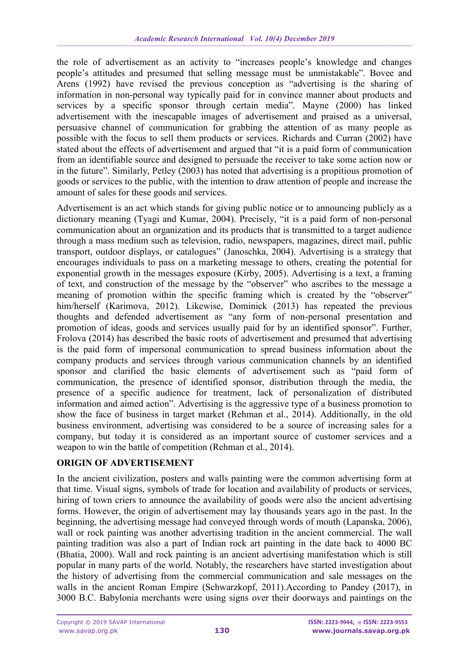the role of advertisement as an activity to "increases people's knowledge and changes people's attitudes and presumed that selling message must be unmistakable". Bovee and Arens (1992) have revised the previous conception as "advertising is the sharing of information in non-personal way typically paid for in convince manner about products and services by a specific sponsor through certain media". Mayne (2000) has linked advertisement with the inescapable images of advertisement and praised as a universal, persuasive channel of communication for grabbing the attention of as many people as possible with the focus to sell them products or services. Richards and Curran (2002) have stated about the effects of advertisement and argued that "it is a paid form of communication from an identifiable source and designed to persuade the receiver to take some action now or in the future". Similarly, Petley (2003) has noted that advertising is a propitious promotion of goods or services to the public, with the intention to draw attention of people and increase the amount of sales for these goods and services.

Advertisement is an act which stands for giving public notice or to announcing publicly as a dictionary meaning (Tyagi and Kumar, 2004). Precisely, "it is a paid form of non-personal communication about an organization and its products that is transmitted to a target audience through a mass medium such as television, radio, newspapers, magazines, direct mail, public transport, outdoor displays, or catalogues" (Janoschka, 2004). Advertising is a strategy that encourages individuals to pass on a marketing message to others, creating the potential for exponential growth in the messages exposure (Kirby, 2005). Advertising is a text, a framing of text, and construction of the message by the "observer" who ascribes to the message a meaning of promotion within the specific framing which is created by the "observer" him/herself (Karimova, 2012). Likewise, Dominick (2013) has repeated the previous thoughts and defended advertisement as "any form of non-personal presentation and promotion of ideas, goods and services usually paid for by an identified sponsor". Further, Frolova (2014) has described the basic roots of advertisement and presumed that advertising is the paid form of impersonal communication to spread business information about the company products and services through various communication channels by an identified sponsor and clarified the basic elements of advertisement such as "paid form of communication, the presence of identified sponsor, distribution through the media, the presence of a specific audience for treatment, lack of personalization of distributed information and aimed action". Advertising is the aggressive type of a business promotion to show the face of business in target market (Rehman et al., 2014). Additionally, in the old business environment, advertising was considered to be a source of increasing sales for a company, but today it is considered as an important source of customer services and a weapon to win the battle of competition (Rehman et al., 2014).

# **ORIGIN OF ADVERTISEMENT**

In the ancient civilization, posters and walls painting were the common advertising form at that time. Visual signs, symbols of trade for location and availability of products or services, hiring of town criers to announce the availability of goods were also the ancient advertising forms. However, the origin of advertisement may lay thousands years ago in the past. In the beginning, the advertising message had conveyed through words of mouth (Lapanska, 2006), wall or rock painting was another advertising tradition in the ancient commercial. The wall painting tradition was also a part of Indian rock art painting in the date back to 4000 BC (Bhatia, 2000). Wall and rock painting is an ancient advertising manifestation which is still popular in many parts of the world. Notably, the researchers have started investigation about the history of advertising from the commercial communication and sale messages on the walls in the ancient Roman Empire (Schwarzkopf, 2011).According to Pandey (2017), in 3000 B.C. Babylonia merchants were using signs over their doorways and paintings on the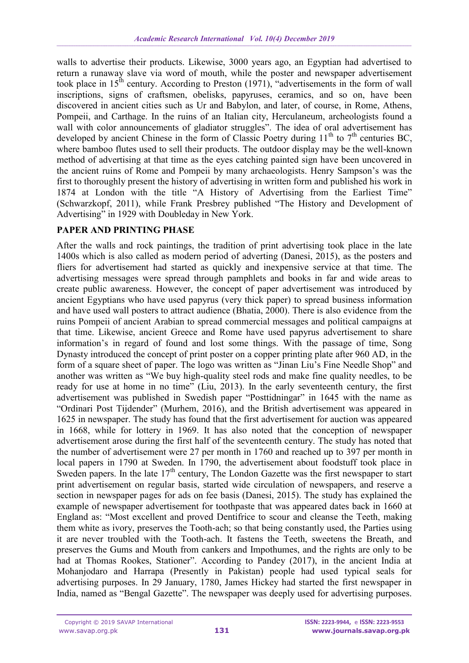walls to advertise their products. Likewise, 3000 years ago, an Egyptian had advertised to return a runaway slave via word of mouth, while the poster and newspaper advertisement took place in  $15<sup>th</sup>$  century. According to Preston (1971), "advertisements in the form of wall inscriptions, signs of craftsmen, obelisks, papyruses, ceramics, and so on, have been discovered in ancient cities such as Ur and Babylon, and later, of course, in Rome, Athens, Pompeii, and Carthage. In the ruins of an Italian city, Herculaneum, archeologists found a wall with color announcements of gladiator struggles". The idea of oral advertisement has developed by ancient Chinese in the form of Classic Poetry during  $11<sup>th</sup>$  to  $7<sup>th</sup>$  centuries BC, where bamboo flutes used to sell their products. The outdoor display may be the well-known method of advertising at that time as the eyes catching painted sign have been uncovered in the ancient ruins of Rome and Pompeii by many archaeologists. Henry Sampson's was the first to thoroughly present the history of advertising in written form and published his work in 1874 at London with the title "A History of Advertising from the Earliest Time" (Schwarzkopf, 2011), while Frank Presbrey published "The History and Development of Advertising" in 1929 with Doubleday in New York.

## **PAPER AND PRINTING PHASE**

After the walls and rock paintings, the tradition of print advertising took place in the late 1400s which is also called as modern period of adverting (Danesi, 2015), as the posters and fliers for advertisement had started as quickly and inexpensive service at that time. The advertising messages were spread through pamphlets and books in far and wide areas to create public awareness. However, the concept of paper advertisement was introduced by ancient Egyptians who have used papyrus (very thick paper) to spread business information and have used wall posters to attract audience (Bhatia, 2000). There is also evidence from the ruins Pompeii of ancient Arabian to spread commercial messages and political campaigns at that time. Likewise, ancient Greece and Rome have used papyrus advertisement to share information's in regard of found and lost some things. With the passage of time, Song Dynasty introduced the concept of print poster on a copper printing plate after 960 AD, in the form of a square sheet of paper. The logo was written as "Jinan Liu's Fine Needle Shop" and another was written as "We buy high-quality steel rods and make fine quality needles, to be ready for use at home in no time" (Liu, 2013). In the early seventeenth century, the first advertisement was published in Swedish paper "Posttidningar" in 1645 with the name as "Ordinari Post Tijdender" (Murhem, 2016), and the British advertisement was appeared in 1625 in newspaper. The study has found that the first advertisement for auction was appeared in 1668, while for lottery in 1969. It has also noted that the conception of newspaper advertisement arose during the first half of the seventeenth century. The study has noted that the number of advertisement were 27 per month in 1760 and reached up to 397 per month in local papers in 1790 at Sweden. In 1790, the advertisement about foodstuff took place in Sweden papers. In the late  $17<sup>th</sup>$  century, The London Gazette was the first newspaper to start print advertisement on regular basis, started wide circulation of newspapers, and reserve a section in newspaper pages for ads on fee basis (Danesi, 2015). The study has explained the example of newspaper advertisement for toothpaste that was appeared dates back in 1660 at England as: "Most excellent and proved Dentifrice to scour and cleanse the Teeth, making them white as ivory, preserves the Tooth-ach; so that being constantly used, the Parties using it are never troubled with the Tooth-ach. It fastens the Teeth, sweetens the Breath, and preserves the Gums and Mouth from cankers and Impothumes, and the rights are only to be had at Thomas Rookes, Stationer". According to Pandey (2017), in the ancient India at Mohanjodaro and Harrapa (Presently in Pakistan) people had used typical seals for advertising purposes. In 29 January, 1780, James Hickey had started the first newspaper in India, named as "Bengal Gazette". The newspaper was deeply used for advertising purposes.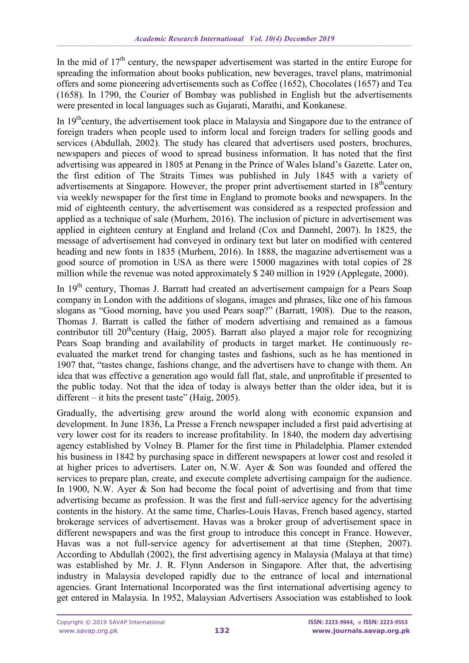In the mid of  $17<sup>th</sup>$  century, the newspaper advertisement was started in the entire Europe for spreading the information about books publication, new beverages, travel plans, matrimonial offers and some pioneering advertisements such as Coffee (1652), Chocolates (1657) and Tea (1658). In 1790, the Courier of Bombay was published in English but the advertisements were presented in local languages such as Gujarati, Marathi, and Konkanese.

In  $19<sup>th</sup>$ century, the advertisement took place in Malaysia and Singapore due to the entrance of foreign traders when people used to inform local and foreign traders for selling goods and services (Abdullah, 2002). The study has cleared that advertisers used posters, brochures, newspapers and pieces of wood to spread business information. It has noted that the first advertising was appeared in 1805 at Penang in the Prince of Wales Island's Gazette. Later on, the first edition of The Straits Times was published in July 1845 with a variety of advertisements at Singapore. However, the proper print advertisement started in  $18<sup>th</sup>$ century via weekly newspaper for the first time in England to promote books and newspapers. In the mid of eighteenth century, the advertisement was considered as a respected profession and applied as a technique of sale (Murhem, 2016). The inclusion of picture in advertisement was applied in eighteen century at England and Ireland (Cox and Dannehl, 2007). In 1825, the message of advertisement had conveyed in ordinary text but later on modified with centered heading and new fonts in 1835 (Murhem, 2016). In 1888, the magazine advertisement was a good source of promotion in USA as there were 15000 magazines with total copies of 28 million while the revenue was noted approximately \$ 240 million in 1929 (Applegate, 2000).

In 19<sup>th</sup> century, Thomas J. Barratt had created an advertisement campaign for a Pears Soap company in London with the additions of slogans, images and phrases, like one of his famous slogans as "Good morning, have you used Pears soap?" (Barratt, 1908). Due to the reason, Thomas J. Barratt is called the father of modern advertising and remained as a famous contributor till  $20<sup>th</sup>$ century (Haig, 2005). Barratt also played a major role for recognizing Pears Soap branding and availability of products in target market. He continuously reevaluated the market trend for changing tastes and fashions, such as he has mentioned in 1907 that, "tastes change, fashions change, and the advertisers have to change with them. An idea that was effective a generation ago would fall flat, stale, and unprofitable if presented to the public today. Not that the idea of today is always better than the older idea, but it is different – it hits the present taste" (Haig, 2005).

Gradually, the advertising grew around the world along with economic expansion and development. In June 1836, La Presse a French newspaper included a first paid advertising at very lower cost for its readers to increase profitability. In 1840, the modern day advertising agency established by Volney B. Plamer for the first time in Philadelphia. Plamer extended his business in 1842 by purchasing space in different newspapers at lower cost and resoled it at higher prices to advertisers. Later on, N.W. Ayer & Son was founded and offered the services to prepare plan, create, and execute complete advertising campaign for the audience. In 1900, N.W. Ayer & Son had become the focal point of advertising and from that time advertising became as profession. It was the first and full-service agency for the advertising contents in the history. At the same time, Charles-Louis Havas, French based agency, started brokerage services of advertisement. Havas was a broker group of advertisement space in different newspapers and was the first group to introduce this concept in France. However, Havas was a not full-service agency for advertisement at that time (Stephen, 2007). According to Abdullah (2002), the first advertising agency in Malaysia (Malaya at that time) was established by Mr. J. R. Flynn Anderson in Singapore. After that, the advertising industry in Malaysia developed rapidly due to the entrance of local and international agencies. Grant International Incorporated was the first international advertising agency to get entered in Malaysia. In 1952, Malaysian Advertisers Association was established to look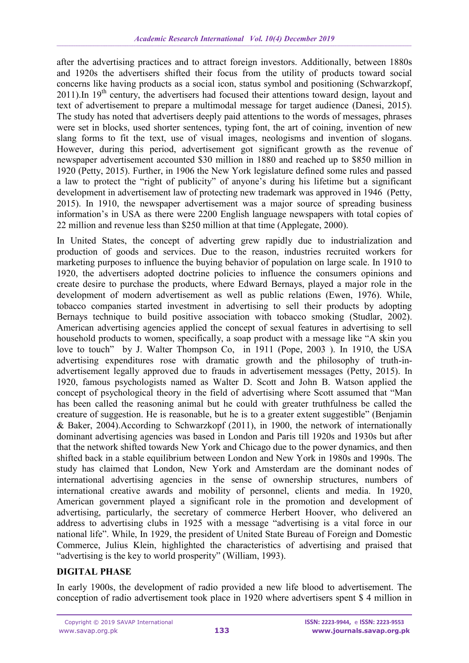after the advertising practices and to attract foreign investors. Additionally, between 1880s and 1920s the advertisers shifted their focus from the utility of products toward social concerns like having products as a social icon, status symbol and positioning (Schwarzkopf,  $2011$ ).In  $19<sup>th</sup>$  century, the advertisers had focused their attentions toward design, layout and text of advertisement to prepare a multimodal message for target audience (Danesi, 2015). The study has noted that advertisers deeply paid attentions to the words of messages, phrases were set in blocks, used shorter sentences, typing font, the art of coining, invention of new slang forms to fit the text, use of visual images, neologisms and invention of slogans. However, during this period, advertisement got significant growth as the revenue of newspaper advertisement accounted \$30 million in 1880 and reached up to \$850 million in 1920 (Petty, 2015). Further, in 1906 the New York legislature defined some rules and passed a law to protect the "right of publicity" of anyone's during his lifetime but a significant development in advertisement law of protecting new trademark was approved in 1946 (Petty, 2015). In 1910, the newspaper advertisement was a major source of spreading business information's in USA as there were 2200 English language newspapers with total copies of 22 million and revenue less than \$250 million at that time (Applegate, 2000).

In United States, the concept of adverting grew rapidly due to industrialization and production of goods and services. Due to the reason, industries recruited workers for marketing purposes to influence the buying behavior of population on large scale. In 1910 to 1920, the advertisers adopted doctrine policies to influence the consumers opinions and create desire to purchase the products, where Edward Bernays, played a major role in the development of modern advertisement as well as public relations (Ewen, 1976). While, tobacco companies started investment in advertising to sell their products by adopting Bernays technique to build positive association with tobacco smoking (Studlar, 2002). American advertising agencies applied the concept of sexual features in advertising to sell household products to women, specifically, a soap product with a message like "A skin you love to touch" by J. Walter Thompson Co, in 1911 (Pope, 2003 ). In 1910, the USA advertising expenditures rose with dramatic growth and the philosophy of truth-inadvertisement legally approved due to frauds in advertisement messages (Petty, 2015). In 1920, famous psychologists named as Walter D. Scott and John B. Watson applied the concept of psychological theory in the field of advertising where Scott assumed that "Man has been called the reasoning animal but he could with greater truthfulness be called the creature of suggestion. He is reasonable, but he is to a greater extent suggestible" (Benjamin & Baker, 2004).According to Schwarzkopf (2011), in 1900, the network of internationally dominant advertising agencies was based in London and Paris till 1920s and 1930s but after that the network shifted towards New York and Chicago due to the power dynamics, and then shifted back in a stable equilibrium between London and New York in 1980s and 1990s. The study has claimed that London, New York and Amsterdam are the dominant nodes of international advertising agencies in the sense of ownership structures, numbers of international creative awards and mobility of personnel, clients and media. In 1920, American government played a significant role in the promotion and development of advertising, particularly, the secretary of commerce Herbert Hoover, who delivered an address to advertising clubs in 1925 with a message "advertising is a vital force in our national life". While, In 1929, the president of United State Bureau of Foreign and Domestic Commerce, Julius Klein, highlighted the characteristics of advertising and praised that "advertising is the key to world prosperity" (William, 1993).

# **DIGITAL PHASE**

In early 1900s, the development of radio provided a new life blood to advertisement. The conception of radio advertisement took place in 1920 where advertisers spent \$ 4 million in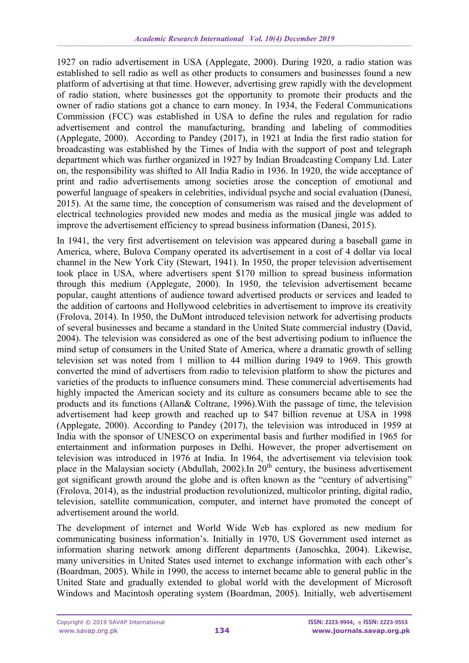1927 on radio advertisement in USA (Applegate, 2000). During 1920, a radio station was established to sell radio as well as other products to consumers and businesses found a new platform of advertising at that time. However, advertising grew rapidly with the development of radio station, where businesses got the opportunity to promote their products and the owner of radio stations got a chance to earn money. In 1934, the Federal Communications Commission (FCC) was established in USA to define the rules and regulation for radio advertisement and control the manufacturing, branding and labeling of commodities (Applegate, 2000). According to Pandey (2017), in 1921 at India the first radio station for broadcasting was established by the Times of India with the support of post and telegraph department which was further organized in 1927 by Indian Broadcasting Company Ltd. Later on, the responsibility was shifted to All India Radio in 1936. In 1920, the wide acceptance of print and radio advertisements among societies arose the conception of emotional and powerful language of speakers in celebrities, individual psyche and social evaluation (Danesi, 2015). At the same time, the conception of consumerism was raised and the development of electrical technologies provided new modes and media as the musical jingle was added to improve the advertisement efficiency to spread business information (Danesi, 2015).

In 1941, the very first advertisement on television was appeared during a baseball game in America, where, Bulova Company operated its advertisement in a cost of 4 dollar via local channel in the New York City (Stewart, 1941). In 1950, the proper television advertisement took place in USA, where advertisers spent \$170 million to spread business information through this medium (Applegate, 2000). In 1950, the television advertisement became popular, caught attentions of audience toward advertised products or services and leaded to the addition of cartoons and Hollywood celebrities in advertisement to improve its creativity (Frolova, 2014). In 1950, the DuMont introduced television network for advertising products of several businesses and became a standard in the United State commercial industry (David, 2004). The television was considered as one of the best advertising podium to influence the mind setup of consumers in the United State of America, where a dramatic growth of selling television set was noted from 1 million to 44 million during 1949 to 1969. This growth converted the mind of advertisers from radio to television platform to show the pictures and varieties of the products to influence consumers mind. These commercial advertisements had highly impacted the American society and its culture as consumers became able to see the products and its functions (Allan& Coltrane, 1996).With the passage of time, the television advertisement had keep growth and reached up to \$47 billion revenue at USA in 1998 (Applegate, 2000). According to Pandey (2017), the television was introduced in 1959 at India with the sponsor of UNESCO on experimental basis and further modified in 1965 for entertainment and information purposes in Delhi. However, the proper advertisement on television was introduced in 1976 at India. In 1964, the advertisement via television took place in the Malaysian society (Abdullah, 2002).In  $20<sup>th</sup>$  century, the business advertisement got significant growth around the globe and is often known as the "century of advertising" (Frolova, 2014), as the industrial production revolutionized, multicolor printing, digital radio, television, satellite communication, computer, and internet have promoted the concept of advertisement around the world.

The development of internet and World Wide Web has explored as new medium for communicating business information's. Initially in 1970, US Government used internet as information sharing network among different departments (Janoschka, 2004). Likewise, many universities in United States used internet to exchange information with each other's (Boardman, 2005). While in 1990, the access to internet became able to general public in the United State and gradually extended to global world with the development of Microsoft Windows and Macintosh operating system (Boardman, 2005). Initially, web advertisement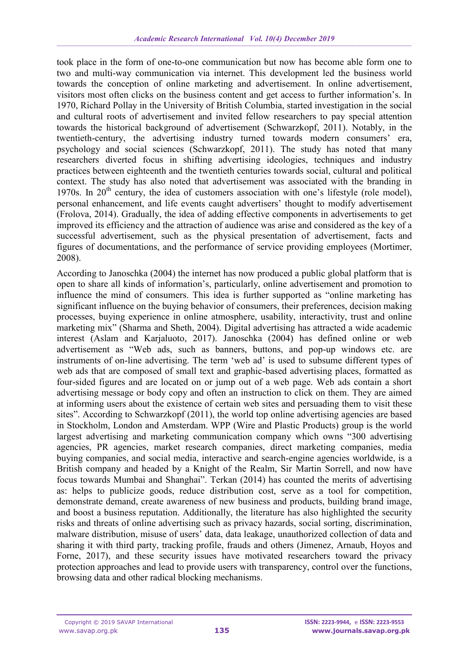took place in the form of one-to-one communication but now has become able form one to two and multi-way communication via internet. This development led the business world towards the conception of online marketing and advertisement. In online advertisement, visitors most often clicks on the business content and get access to further information's. In 1970, Richard Pollay in the University of British Columbia, started investigation in the social and cultural roots of advertisement and invited fellow researchers to pay special attention towards the historical background of advertisement (Schwarzkopf, 2011). Notably, in the twentieth-century, the advertising industry turned towards modern consumers' era, psychology and social sciences (Schwarzkopf, 2011). The study has noted that many researchers diverted focus in shifting advertising ideologies, techniques and industry practices between eighteenth and the twentieth centuries towards social, cultural and political context. The study has also noted that advertisement was associated with the branding in 1970s. In  $20<sup>th</sup>$  century, the idea of customers association with one's lifestyle (role model), personal enhancement, and life events caught advertisers' thought to modify advertisement (Frolova, 2014). Gradually, the idea of adding effective components in advertisements to get improved its efficiency and the attraction of audience was arise and considered as the key of a successful advertisement, such as the physical presentation of advertisement, facts and figures of documentations, and the performance of service providing employees (Mortimer, 2008).

According to Janoschka (2004) the internet has now produced a public global platform that is open to share all kinds of information's, particularly, online advertisement and promotion to influence the mind of consumers. This idea is further supported as "online marketing has significant influence on the buying behavior of consumers, their preferences, decision making processes, buying experience in online atmosphere, usability, interactivity, trust and online marketing mix" (Sharma and Sheth, 2004). Digital advertising has attracted a wide academic interest (Aslam and Karjaluoto, 2017). Janoschka (2004) has defined online or web advertisement as "Web ads, such as banners, buttons, and pop-up windows etc. are instruments of on-line advertising. The term 'web ad' is used to subsume different types of web ads that are composed of small text and graphic-based advertising places, formatted as four-sided figures and are located on or jump out of a web page. Web ads contain a short advertising message or body copy and often an instruction to click on them. They are aimed at informing users about the existence of certain web sites and persuading them to visit these sites". According to Schwarzkopf (2011), the world top online advertising agencies are based in Stockholm, London and Amsterdam. WPP (Wire and Plastic Products) group is the world largest advertising and marketing communication company which owns "300 advertising agencies, PR agencies, market research companies, direct marketing companies, media buying companies, and social media, interactive and search-engine agencies worldwide, is a British company and headed by a Knight of the Realm, Sir Martin Sorrell, and now have focus towards Mumbai and Shanghai". Terkan (2014) has counted the merits of advertising as: helps to publicize goods, reduce distribution cost, serve as a tool for competition, demonstrate demand, create awareness of new business and products, building brand image, and boost a business reputation. Additionally, the literature has also highlighted the security risks and threats of online advertising such as privacy hazards, social sorting, discrimination, malware distribution, misuse of users' data, data leakage, unauthorized collection of data and sharing it with third party, tracking profile, frauds and others (Jimenez, Arnaub, Hoyos and Forne, 2017), and these security issues have motivated researchers toward the privacy protection approaches and lead to provide users with transparency, control over the functions, browsing data and other radical blocking mechanisms.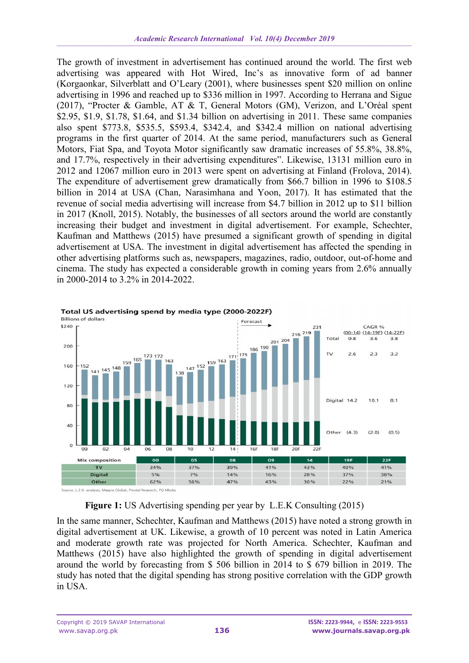The growth of investment in advertisement has continued around the world. The first web advertising was appeared with Hot Wired, Inc's as innovative form of ad banner (Korgaonkar, Silverblatt and O'Leary (2001), where businesses spent \$20 million on online advertising in 1996 and reached up to \$336 million in 1997. According to Herrana and Sigue (2017), "Procter & Gamble, AT & T, General Motors (GM), Verizon, and L'Oréal spent \$2.95, \$1.9, \$1.78, \$1.64, and \$1.34 billion on advertising in 2011. These same companies also spent \$773.8, \$535.5, \$593.4, \$342.4, and \$342.4 million on national advertising programs in the first quarter of 2014. At the same period, manufacturers such as General Motors, Fiat Spa, and Toyota Motor significantly saw dramatic increases of 55.8%, 38.8%, and 17.7%, respectively in their advertising expenditures". Likewise, 13131 million euro in 2012 and 12067 million euro in 2013 were spent on advertising at Finland (Frolova, 2014). The expenditure of advertisement grew dramatically from \$66.7 billion in 1996 to \$108.5 billion in 2014 at USA (Chan, Narasimhana and Yoon, 2017). It has estimated that the revenue of social media advertising will increase from \$4.7 billion in 2012 up to \$11 billion in 2017 (Knoll, 2015). Notably, the businesses of all sectors around the world are constantly increasing their budget and investment in digital advertisement. For example, Schechter, Kaufman and Matthews (2015) have presumed a significant growth of spending in digital advertisement at USA. The investment in digital advertisement has affected the spending in other advertising platforms such as, newspapers, magazines, radio, outdoor, out-of-home and cinema. The study has expected a considerable growth in coming years from 2.6% annually in 2000-2014 to 3.2% in 2014-2022.



**Figure 1:** US Advertising spending per year by L.E.K Consulting (2015)

In the same manner, Schechter, Kaufman and Matthews (2015) have noted a strong growth in digital advertisement at UK. Likewise, a growth of 10 percent was noted in Latin America and moderate growth rate was projected for North America. Schechter, Kaufman and Matthews (2015) have also highlighted the growth of spending in digital advertisement around the world by forecasting from \$ 506 billion in 2014 to \$ 679 billion in 2019. The study has noted that the digital spending has strong positive correlation with the GDP growth in USA.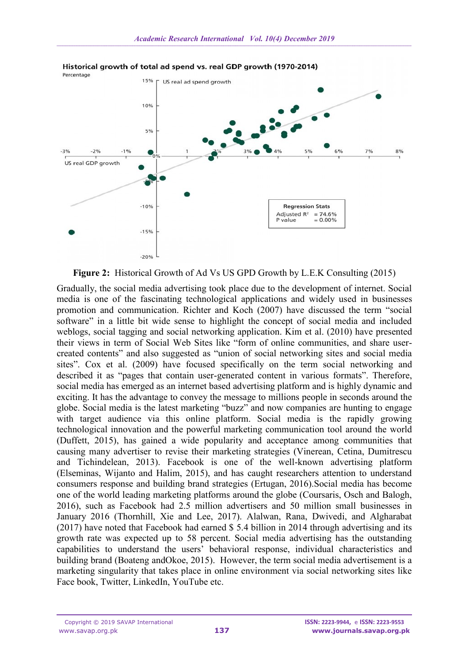

Historical growth of total ad spend vs. real GDP growth (1970-2014)

**Figure 2:** Historical Growth of Ad Vs US GPD Growth by L.E.K Consulting (2015)

Gradually, the social media advertising took place due to the development of internet. Social media is one of the fascinating technological applications and widely used in businesses promotion and communication. Richter and Koch (2007) have discussed the term "social software" in a little bit wide sense to highlight the concept of social media and included weblogs, social tagging and social networking application. Kim et al. (2010) have presented their views in term of Social Web Sites like "form of online communities, and share usercreated contents" and also suggested as "union of social networking sites and social media sites". Cox et al. (2009) have focused specifically on the term social networking and described it as "pages that contain user-generated content in various formats". Therefore, social media has emerged as an internet based advertising platform and is highly dynamic and exciting. It has the advantage to convey the message to millions people in seconds around the globe. Social media is the latest marketing "buzz" and now companies are hunting to engage with target audience via this online platform. Social media is the rapidly growing technological innovation and the powerful marketing communication tool around the world (Duffett, 2015), has gained a wide popularity and acceptance among communities that causing many advertiser to revise their marketing strategies (Vinerean, Cetina, Dumitrescu and Tichindelean, 2013). Facebook is one of the well-known advertising platform (Elseminas, Wijanto and Halim, 2015), and has caught researchers attention to understand consumers response and building brand strategies (Ertugan, 2016).Social media has become one of the world leading marketing platforms around the globe (Coursaris, Osch and Balogh, 2016), such as Facebook had 2.5 million advertisers and 50 million small businesses in January 2016 (Thornhill, Xie and Lee, 2017). Alalwan, Rana, Dwivedi, and Algharabat (2017) have noted that Facebook had earned \$ 5.4 billion in 2014 through advertising and its growth rate was expected up to 58 percent. Social media advertising has the outstanding capabilities to understand the users' behavioral response, individual characteristics and building brand (Boateng andOkoe, 2015). However, the term social media advertisement is a marketing singularity that takes place in online environment via social networking sites like Face book, Twitter, LinkedIn, YouTube etc.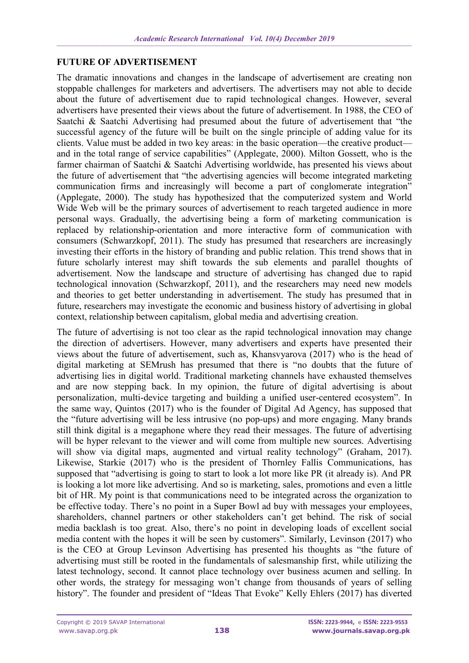### **FUTURE OF ADVERTISEMENT**

The dramatic innovations and changes in the landscape of advertisement are creating non stoppable challenges for marketers and advertisers. The advertisers may not able to decide about the future of advertisement due to rapid technological changes. However, several advertisers have presented their views about the future of advertisement. In 1988, the CEO of Saatchi & Saatchi Advertising had presumed about the future of advertisement that "the successful agency of the future will be built on the single principle of adding value for its clients. Value must be added in two key areas: in the basic operation—the creative product and in the total range of service capabilities" (Applegate, 2000). Milton Gossett, who is the farmer chairman of Saatchi & Saatchi Advertising worldwide, has presented his views about the future of advertisement that "the advertising agencies will become integrated marketing communication firms and increasingly will become a part of conglomerate integration" (Applegate, 2000). The study has hypothesized that the computerized system and World Wide Web will be the primary sources of advertisement to reach targeted audience in more personal ways. Gradually, the advertising being a form of marketing communication is replaced by relationship-orientation and more interactive form of communication with consumers (Schwarzkopf, 2011). The study has presumed that researchers are increasingly investing their efforts in the history of branding and public relation. This trend shows that in future scholarly interest may shift towards the sub elements and parallel thoughts of advertisement. Now the landscape and structure of advertising has changed due to rapid technological innovation (Schwarzkopf, 2011), and the researchers may need new models and theories to get better understanding in advertisement. The study has presumed that in future, researchers may investigate the economic and business history of advertising in global context, relationship between capitalism, global media and advertising creation.

The future of advertising is not too clear as the rapid technological innovation may change the direction of advertisers. However, many advertisers and experts have presented their views about the future of advertisement, such as, Khansvyarova (2017) who is the head of digital marketing at SEMrush has presumed that there is "no doubts that the future of advertising lies in digital world. Traditional marketing channels have exhausted themselves and are now stepping back. In my opinion, the future of digital advertising is about personalization, multi-device targeting and building a unified user-centered ecosystem". In the same way, Quintos (2017) who is the founder of Digital Ad Agency, has supposed that the "future advertising will be less intrusive (no pop-ups) and more engaging. Many brands still think digital is a megaphone where they read their messages. The future of advertising will be hyper relevant to the viewer and will come from multiple new sources. Advertising will show via digital maps, augmented and virtual reality technology" (Graham, 2017). Likewise, Starkie (2017) who is the president of Thornley Fallis Communications, has supposed that "advertising is going to start to look a lot more like PR (it already is). And PR is looking a lot more like advertising. And so is marketing, sales, promotions and even a little bit of HR. My point is that communications need to be integrated across the organization to be effective today. There's no point in a Super Bowl ad buy with messages your employees, shareholders, channel partners or other stakeholders can't get behind. The risk of social media backlash is too great. Also, there's no point in developing loads of excellent social media content with the hopes it will be seen by customers". Similarly, Levinson (2017) who is the CEO at Group Levinson Advertising has presented his thoughts as "the future of advertising must still be rooted in the fundamentals of salesmanship first, while utilizing the latest technology, second. It cannot place technology over business acumen and selling. In other words, the strategy for messaging won't change from thousands of years of selling history". The founder and president of "Ideas That Evoke" Kelly Ehlers (2017) has diverted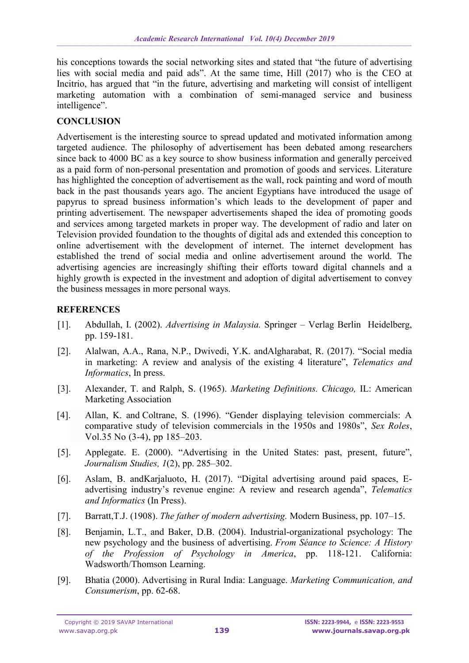his conceptions towards the social networking sites and stated that "the future of advertising lies with social media and paid ads". At the same time, Hill (2017) who is the CEO at Incitrio, has argued that "in the future, advertising and marketing will consist of intelligent marketing automation with a combination of semi-managed service and business intelligence".

## **CONCLUSION**

Advertisement is the interesting source to spread updated and motivated information among targeted audience. The philosophy of advertisement has been debated among researchers since back to 4000 BC as a key source to show business information and generally perceived as a paid form of non-personal presentation and promotion of goods and services. Literature has highlighted the conception of advertisement as the wall, rock painting and word of mouth back in the past thousands years ago. The ancient Egyptians have introduced the usage of papyrus to spread business information's which leads to the development of paper and printing advertisement. The newspaper advertisements shaped the idea of promoting goods and services among targeted markets in proper way. The development of radio and later on Television provided foundation to the thoughts of digital ads and extended this conception to online advertisement with the development of internet. The internet development has established the trend of social media and online advertisement around the world. The advertising agencies are increasingly shifting their efforts toward digital channels and a highly growth is expected in the investment and adoption of digital advertisement to convey the business messages in more personal ways.

## **REFERENCES**

- [1]. Abdullah, I. (2002). *Advertising in Malaysia.* Springer Verlag Berlin Heidelberg, pp. 159-181.
- [2]. Alalwan, A.A., Rana, N.P., Dwivedi, Y.K. andAlgharabat, R. (2017). "Social media in marketing: A review and analysis of the existing 4 literature", *Telematics and Informatics*, In press.
- [3]. Alexander, T. and Ralph, S. (1965). *Marketing Definitions. Chicago,* IL: American Marketing Association
- [4]. Allan, K. and Coltrane, S. (1996). "Gender displaying television commercials: A comparative study of television commercials in the 1950s and 1980s", *Sex Roles*, Vol.35 No (3-4), pp 185–203.
- [5]. Applegate. E. (2000). "Advertising in the United States: past, present, future", *Journalism Studies, 1*(2), pp. 285–302.
- [6]. Aslam, B. andKarjaluoto, H. (2017). "Digital advertising around paid spaces, Eadvertising industry's revenue engine: A review and research agenda", *Telematics and Informatics* (In Press).
- [7]. Barratt,T.J. (1908). *The father of modern advertising.* Modern Business, pp. 107–15.
- [8]. Benjamin, L.T., and Baker, D.B. (2004). Industrial-organizational psychology: The new psychology and the business of advertising. *From Séance to Science: A History of the Profession of Psychology in America*, pp. 118-121. California: Wadsworth/Thomson Learning.
- [9]. Bhatia (2000). Advertising in Rural India: Language. *Marketing Communication, and Consumerism*, pp. 62-68.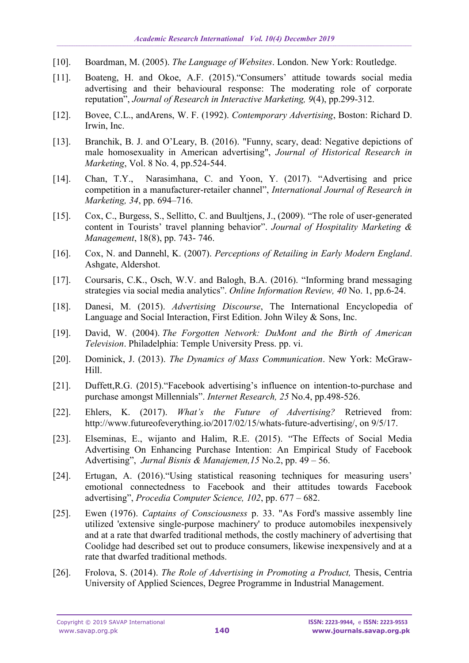- [10]. Boardman, M. (2005). *The Language of Websites*. London. New York: Routledge.
- [11]. Boateng, H. and Okoe, A.F. (2015)."Consumers' attitude towards social media advertising and their behavioural response: The moderating role of corporate reputation", *Journal of Research in Interactive Marketing, 9*(4), pp.299-312.
- [12]. Bovee, C.L., andArens, W. F. (1992). *Contemporary Advertising*, Boston: Richard D. Irwin, Inc.
- [13]. Branchik, B. J. and O'Leary, B. (2016). "Funny, scary, dead: Negative depictions of male homosexuality in American advertising", *Journal of Historical Research in Marketing*, Vol. 8 No. 4, pp.524-544.
- [14]. Chan, T.Y., Narasimhana, C. and Yoon, Y. (2017). "Advertising and price competition in a manufacturer-retailer channel", *International Journal of Research in Marketing, 34*, pp. 694–716.
- [15]. Cox, C., Burgess, S., Sellitto, C. and Buultjens, J., (2009). "The role of user-generated content in Tourists' travel planning behavior". *Journal of Hospitality Marketing & Management*, 18(8), pp. 743- 746.
- [16]. Cox, N. and Dannehl, K. (2007). *Perceptions of Retailing in Early Modern England*. Ashgate, Aldershot.
- [17]. Coursaris, C.K., Osch, W.V. and Balogh, B.A. (2016). "Informing brand messaging strategies via social media analytics". *Online Information Review, 40* No. 1, pp.6-24.
- [18]. Danesi, M. (2015). *Advertising Discourse*, The International Encyclopedia of Language and Social Interaction, First Edition. John Wiley & Sons, Inc.
- [19]. David, W. (2004). *The Forgotten Network: DuMont and the Birth of American Television*. Philadelphia: Temple University Press. pp. vi.
- [20]. Dominick, J. (2013). *The Dynamics of Mass Communication*. New York: McGraw-Hill.
- [21]. Duffett,R.G. (2015)."Facebook advertising's influence on intention-to-purchase and purchase amongst Millennials". *Internet Research, 25* No.4, pp.498-526.
- [22]. Ehlers, K. (2017). *What's the Future of Advertising?* Retrieved from: [http://www.futureofeverything.io/2017/02/15/whats-future-advertising/,](http://www.futureofeverything.io/2017/02/15/whats-future-advertising/) on 9/5/17.
- [23]. Elseminas, E., wijanto and Halim, R.E. (2015). "The Effects of Social Media Advertising On Enhancing Purchase Intention: An Empirical Study of Facebook Advertising", *Jurnal Bisnis & Manajemen,15* No.2, pp. 49 – 56.
- [24]. Ertugan, A. (2016)."Using statistical reasoning techniques for measuring users' emotional connectedness to Facebook and their attitudes towards Facebook advertising", *Procedia Computer Science, 102*, pp. 677 – 682.
- [25]. Ewen (1976). *Captains of Consciousness* p. 33. "As Ford's massive assembly line utilized 'extensive single-purpose machinery' to produce automobiles inexpensively and at a rate that dwarfed traditional methods, the costly machinery of advertising that Coolidge had described set out to produce consumers, likewise inexpensively and at a rate that dwarfed traditional methods.
- [26]. Frolova, S. (2014). *The Role of Advertising in Promoting a Product,* Thesis, Centria University of Applied Sciences, Degree Programme in Industrial Management.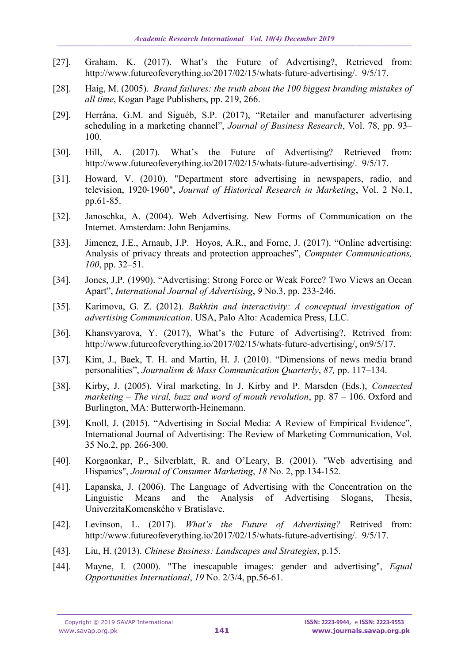- [27]. Graham, K. (2017). What's the Future of Advertising?, Retrieved from: [http://www.futureofeverything.io/2017/02/15/whats-future-advertising/.](http://www.futureofeverything.io/2017/02/15/whats-future-advertising/) 9/5/17.
- [28]. Haig, M. (2005). *Brand failures: the truth about the 100 biggest branding mistakes of all time*, Kogan Page Publishers, pp. 219, 266.
- [29]. Herrána, G.M. and Siguéb, S.P. (2017), "Retailer and manufacturer advertising scheduling in a marketing channel", *Journal of Business Research*, Vol. 78, pp. 93– 100.
- [30]. Hill, A. (2017). What's the Future of Advertising? Retrieved from: [http://www.futureofeverything.io/2017/02/15/whats-future-advertising/.](http://www.futureofeverything.io/2017/02/15/whats-future-advertising/) 9/5/17.
- [31]. Howard, V. (2010). "Department store advertising in newspapers, radio, and television, 1920‐1960", *Journal of Historical Research in Marketing*, Vol. 2 No.1, pp.61-85.
- [32]. Janoschka, A. (2004). Web Advertising. New Forms of Communication on the Internet. Amsterdam: John Benjamins.
- [33]. Jimenez, J.E., Arnaub, J.P. Hoyos, A.R., and Forne, J. (2017). "Online advertising: Analysis of privacy threats and protection approaches", *Computer Communications, 100*, pp. 32–51.
- [34]. Jones, J.P. (1990). "Advertising: Strong Force or Weak Force? Two Views an Ocean Apart", *International Journal of Advertising*, *9* No.3, pp. 233-246.
- [35]. Karimova, G. Z. (2012). *Bakhtin and interactivity: A conceptual investigation of advertising Communication*. USA, Palo Alto: Academica Press, LLC.
- [36]. Khansvyarova, Y. (2017), What's the Future of Advertising?, Retrived from: [http://www.futureofeverything.io/2017/02/15/whats-future-advertising/,](http://www.futureofeverything.io/2017/02/15/whats-future-advertising/) on9/5/17.
- [37]. Kim, J., Baek, T. H. and Martin, H. J. (2010). "Dimensions of news media brand personalities", *Journalism & Mass Communication Quarterly*, *87,* pp. 117–134.
- [38]. Kirby, J. (2005). Viral marketing, In J. Kirby and P. Marsden (Eds.), *Connected marketing – The viral, buzz and word of mouth revolution*, pp. 87 – 106. Oxford and Burlington, MA: Butterworth-Heinemann.
- [39]. Knoll, J. (2015). "Advertising in Social Media: A Review of Empirical Evidence", International Journal of Advertising: The Review of Marketing Communication, Vol. 35 No.2, pp. 266-300.
- [40]. Korgaonkar, P., Silverblatt, R. and O'Leary, B. (2001). "Web advertising and Hispanics", *Journal of Consumer Marketing*, *18* No. 2, pp.134-152.
- [41]. Lapanska, J. (2006). The Language of Advertising with the Concentration on the Linguistic Means and the Analysis of Advertising Slogans, Thesis, UniverzitaKomenského v Bratislave.
- [42]. Levinson, L. (2017). *What's the Future of Advertising?* Retrived from: [http://www.futureofeverything.io/2017/02/15/whats-future-advertising/.](http://www.futureofeverything.io/2017/02/15/whats-future-advertising/) 9/5/17.
- [43]. Liu, H. (2013). *Chinese Business: Landscapes and Strategies*, p.15.
- [44]. Mayne, I. (2000). "The inescapable images: gender and advertising", *Equal Opportunities International*, *19* No. 2/3/4, pp.56-61.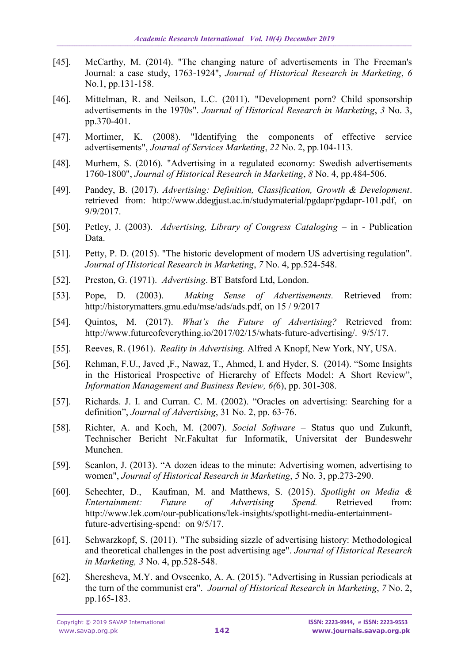- [45]. McCarthy, M. (2014). "The changing nature of advertisements in The Freeman's Journal: a case study, 1763-1924", *Journal of Historical Research in Marketing*, *6* No.1, pp.131-158.
- [46]. Mittelman, R. and Neilson, L.C. (2011). "Development porn? Child sponsorship advertisements in the 1970s". *Journal of Historical Research in Marketing*, *3* No. 3, pp.370-401.
- [47]. Mortimer, K. (2008). "Identifying the components of effective service advertisements", *Journal of Services Marketing*, *22* No. 2, pp.104-113.
- [48]. Murhem, S. (2016). "Advertising in a regulated economy: Swedish advertisements 1760-1800", *Journal of Historical Research in Marketing*, *8* No. 4, pp.484-506.
- [49]. Pandey, B. (2017). *Advertising: Definition, Classification, Growth & Development*. retrieved from: [http://www.ddegjust.ac.in/studymaterial/pgdapr/pgdapr-101.pdf,](http://www.ddegjust.ac.in/studymaterial/pgdapr/pgdapr-101.pdf) on 9/9/2017.
- [50]. Petley, J. (2003). *Advertising, Library of Congress Cataloging* in Publication Data.
- [51]. Petty, P. D. (2015). "The historic development of modern US advertising regulation". *Journal of Historical Research in Marketing*, *7* No. 4, pp.524-548.
- [52]. Preston, G. (1971). *Advertising*. BT Batsford Ltd, London.
- [53]. Pope, D. (2003). *Making Sense of Advertisements.* Retrieved from: [http://historymatters.gmu.edu/mse/ads/ads.pdf,](http://historymatters.gmu.edu/mse/ads/ads.pdf) on 15 / 9/2017
- [54]. Quintos, M. (2017). *What's the Future of Advertising?* Retrieved from: [http://www.futureofeverything.io/2017/02/15/whats-future-advertising/.](http://www.futureofeverything.io/2017/02/15/whats-future-advertising/) 9/5/17.
- [55]. Reeves, R. (1961). *Reality in Advertising.* Alfred A Knopf, New York, NY, USA.
- [56]. Rehman, F.U., Javed ,F., Nawaz, T., Ahmed, I. and Hyder, S. (2014). "Some Insights in the Historical Prospective of Hierarchy of Effects Model: A Short Review", *Information Management and Business Review, 6(*6), pp. 301-308.
- [57]. Richards. J. I. and Curran. C. M. (2002). "Oracles on advertising: Searching for a definition", *Journal of Advertising*, 31 No. 2, pp. 63-76.
- [58]. Richter, A. and Koch, M. (2007). *Social Software* Status quo und Zukunft, Technischer Bericht Nr.Fakultat fur Informatik, Universitat der Bundeswehr Munchen.
- [59]. Scanlon, J. (2013). "A dozen ideas to the minute: Advertising women, advertising to women", *Journal of Historical Research in Marketing*, *5* No. 3, pp.273-290.
- [60]. [Schechter,](http://www.lek.com/consulting-leaders/dan-schechter) D., Kaufman, M. and Matthews, S. (2015). *Spotlight on Media & Entertainment: Future of Advertising Spend.* Retrieved from: [http://www.lek.com/our-publications/lek-insights/spotlight-media-entertainment](http://www.lek.com/our-publications/lek-insights/spotlight-media-entertainment-future-advertising-spend)[future-advertising-spend:](http://www.lek.com/our-publications/lek-insights/spotlight-media-entertainment-future-advertising-spend) on 9/5/17.
- [61]. Schwarzkopf, S. (2011). "The subsiding sizzle of advertising history: Methodological and theoretical challenges in the post advertising age". *Journal of Historical Research in Marketing, 3* No. 4, pp.528-548.
- [62]. Sheresheva, M.Y. and Ovseenko, A. A. (2015). "Advertising in Russian periodicals at the turn of the communist era". *Journal of Historical Research in Marketing*, *7* No. 2, pp.165-183.